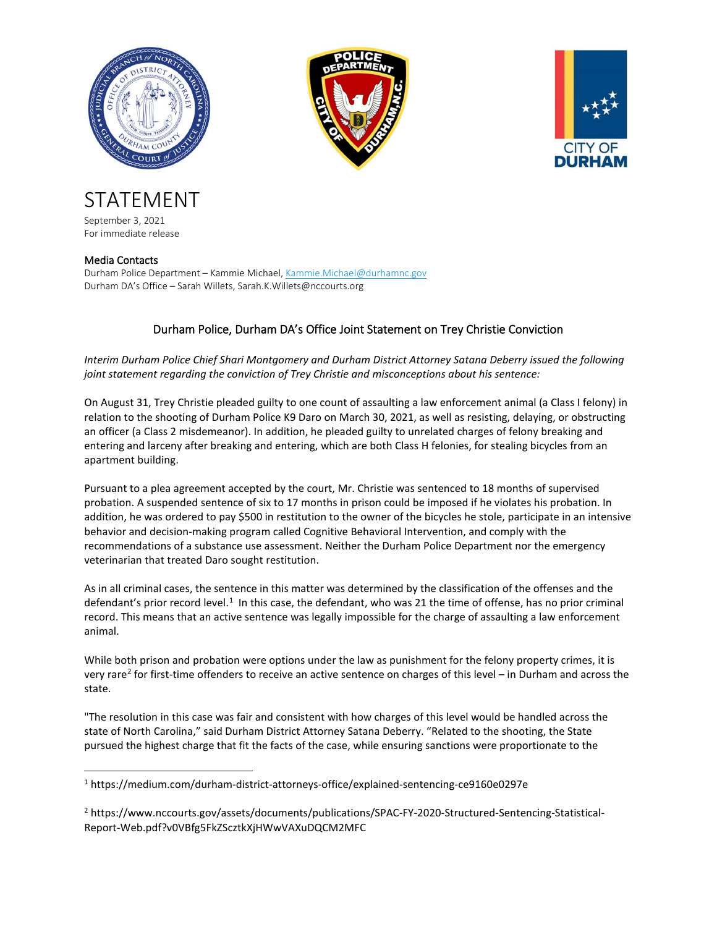





STATEMENT September 3, 2021

For immediate release

## Media Contacts

Durham Police Department – Kammie Michael, [Kammie.Michael@durhamnc.gov](mailto:Kammie.Michael@durhamnc.gov) Durham DA's Office – Sarah Willets, Sarah.K.Willets@nccourts.org

## Durham Police, Durham DA's Office Joint Statement on Trey Christie Conviction

*Interim Durham Police Chief Shari Montgomery and Durham District Attorney Satana Deberry issued the following joint statement regarding the conviction of Trey Christie and misconceptions about his sentence:*

On August 31, Trey Christie pleaded guilty to one count of assaulting a law enforcement animal (a Class I felony) in relation to the shooting of Durham Police K9 Daro on March 30, 2021, as well as resisting, delaying, or obstructing an officer (a Class 2 misdemeanor). In addition, he pleaded guilty to unrelated charges of felony breaking and entering and larceny after breaking and entering, which are both Class H felonies, for stealing bicycles from an apartment building.

Pursuant to a plea agreement accepted by the court, Mr. Christie was sentenced to 18 months of supervised probation. A suspended sentence of six to 17 months in prison could be imposed if he violates his probation. In addition, he was ordered to pay \$500 in restitution to the owner of the bicycles he stole, participate in an intensive behavior and decision-making program called Cognitive Behavioral Intervention, and comply with the recommendations of a substance use assessment. Neither the Durham Police Department nor the emergency veterinarian that treated Daro sought restitution.

As in all criminal cases, the sentence in this matter was determined by the classification of the offenses and the defendant's prior record level.<sup>[1](#page-0-0)</sup> In this case, the defendant, who was 21 the time of offense, has no prior criminal record. This means that an active sentence was legally impossible for the charge of assaulting a law enforcement animal.

While both prison and probation were options under the law as punishment for the felony property crimes, it is very rare<sup>[2](#page-0-1)</sup> for first-time offenders to receive an active sentence on charges of this level – in Durham and across the state.

"The resolution in this case was fair and consistent with how charges of this level would be handled across the state of North Carolina," said Durham District Attorney Satana Deberry. "Related to the shooting, the State pursued the highest charge that fit the facts of the case, while ensuring sanctions were proportionate to the

<span id="page-0-0"></span><sup>1</sup> https://medium.com/durham-district-attorneys-office/explained-sentencing-ce9160e0297e

<span id="page-0-1"></span><sup>2</sup> https://www.nccourts.gov/assets/documents/publications/SPAC-FY-2020-Structured-Sentencing-Statistical-Report-Web.pdf?v0VBfg5FkZScztkXjHWwVAXuDQCM2MFC